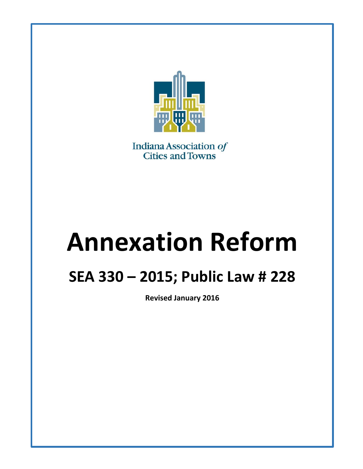

Indiana Association of<br>Cities and Towns

# **Annexation Reform**

# **SEA 330 – 2015; Public Law # 228**

**Revised January 2016**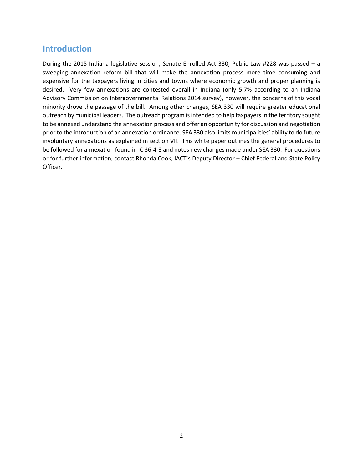#### **Introduction**

During the 2015 Indiana legislative session, Senate Enrolled Act 330, Public Law #228 was passed – a sweeping annexation reform bill that will make the annexation process more time consuming and expensive for the taxpayers living in cities and towns where economic growth and proper planning is desired. Very few annexations are contested overall in Indiana (only 5.7% according to an Indiana Advisory Commission on Intergovernmental Relations 2014 survey), however, the concerns of this vocal minority drove the passage of the bill. Among other changes, SEA 330 will require greater educational outreach by municipal leaders. The outreach program is intended to help taxpayers in the territory sought to be annexed understand the annexation process and offer an opportunity for discussion and negotiation prior to the introduction of an annexation ordinance. SEA 330 also limits municipalities' ability to do future involuntary annexations as explained in section VII. This white paper outlines the general procedures to be followed for annexation found in IC 36-4-3 and notes new changes made under SEA 330. For questions or for further information, contact Rhonda Cook, IACT's Deputy Director – Chief Federal and State Policy Officer.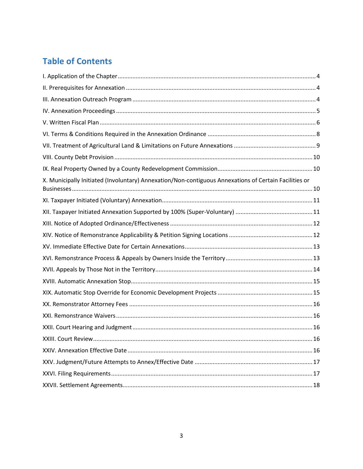# **Table of Contents**

| X. Municipally Initiated (Involuntary) Annexation/Non-contiguous Annexations of Certain Facilities or |  |
|-------------------------------------------------------------------------------------------------------|--|
|                                                                                                       |  |
|                                                                                                       |  |
|                                                                                                       |  |
|                                                                                                       |  |
|                                                                                                       |  |
|                                                                                                       |  |
|                                                                                                       |  |
|                                                                                                       |  |
|                                                                                                       |  |
|                                                                                                       |  |
|                                                                                                       |  |
|                                                                                                       |  |
|                                                                                                       |  |
|                                                                                                       |  |
|                                                                                                       |  |
|                                                                                                       |  |
|                                                                                                       |  |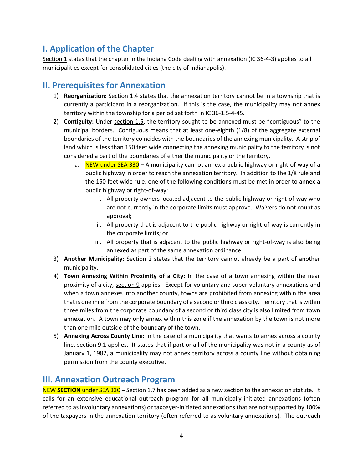## <span id="page-3-0"></span>**I. Application of the Chapter**

Section 1 states that the chapter in the Indiana Code dealing with annexation (IC 36-4-3) applies to all municipalities except for consolidated cities (the city of Indianapolis).

#### <span id="page-3-1"></span>**II. Prerequisites for Annexation**

- 1) **Reorganization:** Section 1.4 states that the annexation territory cannot be in a township that is currently a participant in a reorganization. If this is the case, the municipality may not annex territory within the township for a period set forth in IC 36-1.5-4-45.
- 2) **Contiguity:** Under section 1.5, the territory sought to be annexed must be "contiguous" to the municipal borders. Contiguous means that at least one-eighth (1/8) of the aggregate external boundaries of the territory coincides with the boundaries of the annexing municipality. A strip of land which is less than 150 feet wide connecting the annexing municipality to the territory is not considered a part of the boundaries of either the municipality or the territory.
	- a. NEW under SEA 330 A municipality cannot annex a public highway or right-of-way of a public highway in order to reach the annexation territory. In addition to the 1/8 rule and the 150 feet wide rule, one of the following conditions must be met in order to annex a public highway or right-of-way:
		- i. All property owners located adjacent to the public highway or right-of-way who are not currently in the corporate limits must approve. Waivers do not count as approval;
		- ii. All property that is adjacent to the public highway or right-of-way is currently in the corporate limits; or
		- iii. All property that is adjacent to the public highway or right-of-way is also being annexed as part of the same annexation ordinance.
- 3) **Another Municipality:** Section 2 states that the territory cannot already be a part of another municipality.
- 4) **Town Annexing Within Proximity of a City:** In the case of a town annexing within the near proximity of a city, section 9 applies. Except for voluntary and super-voluntary annexations and when a town annexes into another county, towns are prohibited from annexing within the area that is one mile from the corporate boundary of a second or third class city. Territory that is within three miles from the corporate boundary of a second or third class city is also limited from town annexation. A town may only annex within this zone if the annexation by the town is not more than one mile outside of the boundary of the town.
- 5) **Annexing Across County Line:** In the case of a municipality that wants to annex across a county line, section 9.1 applies. It states that if part or all of the municipality was not in a county as of January 1, 1982, a municipality may not annex territory across a county line without obtaining permission from the county executive.

#### <span id="page-3-2"></span>**III. Annexation Outreach Program**

NEW **SECTION** under SEA 330 – Section 1.7 has been added as a new section to the annexation statute. It calls for an extensive educational outreach program for all municipally-initiated annexations (often referred to as involuntary annexations) or taxpayer-initiated annexations that are not supported by 100% of the taxpayers in the annexation territory (often referred to as voluntary annexations). The outreach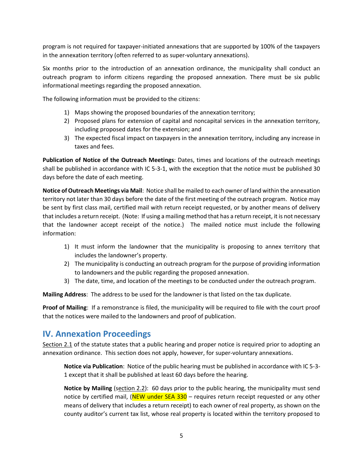program is not required for taxpayer-initiated annexations that are supported by 100% of the taxpayers in the annexation territory (often referred to as super-voluntary annexations).

Six months prior to the introduction of an annexation ordinance, the municipality shall conduct an outreach program to inform citizens regarding the proposed annexation. There must be six public informational meetings regarding the proposed annexation.

The following information must be provided to the citizens:

- 1) Maps showing the proposed boundaries of the annexation territory;
- 2) Proposed plans for extension of capital and noncapital services in the annexation territory, including proposed dates for the extension; and
- 3) The expected fiscal impact on taxpayers in the annexation territory, including any increase in taxes and fees.

**Publication of Notice of the Outreach Meetings**: Dates, times and locations of the outreach meetings shall be published in accordance with IC 5-3-1, with the exception that the notice must be published 30 days before the date of each meeting.

**Notice of Outreach Meetings via Mail**: Notice shall be mailed to each owner of land within the annexation territory not later than 30 days before the date of the first meeting of the outreach program. Notice may be sent by first class mail, certified mail with return receipt requested, or by another means of delivery that includes a return receipt. (Note: If using a mailing method that has a return receipt, it is not necessary that the landowner accept receipt of the notice.) The mailed notice must include the following information:

- 1) It must inform the landowner that the municipality is proposing to annex territory that includes the landowner's property.
- 2) The municipality is conducting an outreach program for the purpose of providing information to landowners and the public regarding the proposed annexation.
- 3) The date, time, and location of the meetings to be conducted under the outreach program.

**Mailing Address**: The address to be used for the landowner is that listed on the tax duplicate.

**Proof of Mailing**: If a remonstrance is filed, the municipality will be required to file with the court proof that the notices were mailed to the landowners and proof of publication.

#### <span id="page-4-0"></span>**IV. Annexation Proceedings**

Section 2.1 of the statute states that a public hearing and proper notice is required prior to adopting an annexation ordinance. This section does not apply, however, for super-voluntary annexations.

**Notice via Publication**: Notice of the public hearing must be published in accordance with IC 5-3- 1 except that it shall be published at least 60 days before the hearing.

**Notice by Mailing** (section 2.2): 60 days prior to the public hearing, the municipality must send notice by certified mail, (NEW under SEA 330 – requires return receipt requested or any other means of delivery that includes a return receipt) to each owner of real property, as shown on the county auditor's current tax list, whose real property is located within the territory proposed to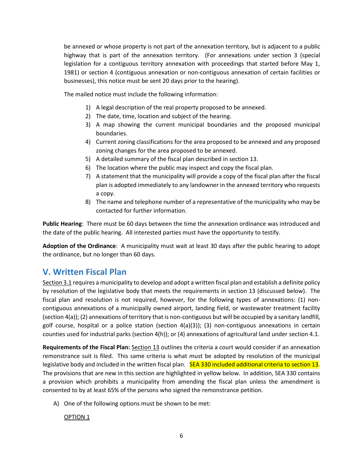be annexed or whose property is not part of the annexation territory, but is adjacent to a public highway that is part of the annexation territory. (For annexations under section 3 (special legislation for a contiguous territory annexation with proceedings that started before May 1, 1981) or section 4 (contiguous annexation or non-contiguous annexation of certain facilities or businesses), this notice must be sent 20 days prior to the hearing).

The mailed notice must include the following information:

- 1) A legal description of the real property proposed to be annexed.
- 2) The date, time, location and subject of the hearing.
- 3) A map showing the current municipal boundaries and the proposed municipal boundaries.
- 4) Current zoning classifications for the area proposed to be annexed and any proposed zoning changes for the area proposed to be annexed.
- 5) A detailed summary of the fiscal plan described in section 13.
- 6) The location where the public may inspect and copy the fiscal plan.
- 7) A statement that the municipality will provide a copy of the fiscal plan after the fiscal plan is adopted immediately to any landowner in the annexed territory who requests a copy.
- 8) The name and telephone number of a representative of the municipality who may be contacted for further information.

**Public Hearing**: There must be 60 days between the time the annexation ordinance was introduced and the date of the public hearing. All interested parties must have the opportunity to testify.

**Adoption of the Ordinance**: A municipality must wait at least 30 days after the public hearing to adopt the ordinance, but no longer than 60 days.

#### <span id="page-5-0"></span>**V. Written Fiscal Plan**

Section 3.1 requires a municipality to develop and adopt a written fiscal plan and establish a definite policy by resolution of the legislative body that meets the requirements in section 13 (discussed below). The fiscal plan and resolution is not required, however, for the following types of annexations: (1) noncontiguous annexations of a municipally owned airport, landing field, or wastewater treatment facility (section 4(a)); (2) annexations of territory that is non-contiguous but will be occupied by a sanitary landfill, golf course, hospital or a police station (section 4(a)(3)); (3) non-contiguous annexations in certain counties used for industrial parks (section 4(h)); or (4) annexations of agricultural land under section 4.1.

**Requirements of the Fiscal Plan:** Section 13 outlines the criteria a court would consider if an annexation remonstrance suit is filed. This same criteria is what must be adopted by resolution of the municipal legislative body and included in the written fiscal plan. SEA 330 included additional criteria to section 13. The provisions that are new in this section are highlighted in yellow below. In addition, SEA 330 contains a provision which prohibits a municipality from amending the fiscal plan unless the amendment is consented to by at least 65% of the persons who signed the remonstrance petition.

A) One of the following options must be shown to be met:

OPTION 1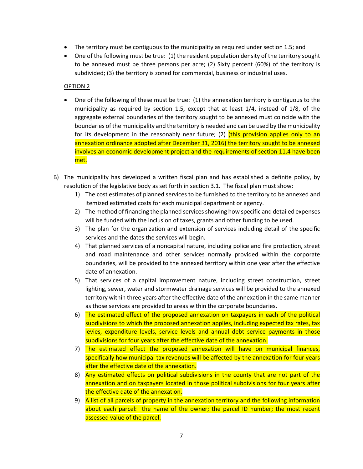- The territory must be contiguous to the municipality as required under section 1.5; and
- One of the following must be true: (1) the resident population density of the territory sought to be annexed must be three persons per acre; (2) Sixty percent (60%) of the territory is subdivided; (3) the territory is zoned for commercial, business or industrial uses.

#### OPTION 2

- One of the following of these must be true: (1) the annexation territory is contiguous to the municipality as required by section 1.5, except that at least 1/4, instead of 1/8, of the aggregate external boundaries of the territory sought to be annexed must coincide with the boundaries of the municipality and the territory is needed and can be used by the municipality for its development in the reasonably near future; (2) (this provision applies only to an annexation ordinance adopted after December 31, 2016) the territory sought to be annexed involves an economic development project and the requirements of section 11.4 have been met.
- B) The municipality has developed a written fiscal plan and has established a definite policy, by resolution of the legislative body as set forth in section 3.1. The fiscal plan must show:
	- 1) The cost estimates of planned services to be furnished to the territory to be annexed and itemized estimated costs for each municipal department or agency.
	- 2) The method of financing the planned services showing how specific and detailed expenses will be funded with the inclusion of taxes, grants and other funding to be used.
	- 3) The plan for the organization and extension of services including detail of the specific services and the dates the services will begin.
	- 4) That planned services of a noncapital nature, including police and fire protection, street and road maintenance and other services normally provided within the corporate boundaries, will be provided to the annexed territory within one year after the effective date of annexation.
	- 5) That services of a capital improvement nature, including street construction, street lighting, sewer, water and stormwater drainage services will be provided to the annexed territory within three years after the effective date of the annexation in the same manner as those services are provided to areas within the corporate boundaries.
	- 6) The estimated effect of the proposed annexation on taxpayers in each of the political subdivisions to which the proposed annexation applies, including expected tax rates, tax levies, expenditure levels, service levels and annual debt service payments in those subdivisions for four years after the effective date of the annexation.
	- 7) The estimated effect the proposed annexation will have on municipal finances, specifically how municipal tax revenues will be affected by the annexation for four years after the effective date of the annexation.
	- 8) Any estimated effects on political subdivisions in the county that are not part of the annexation and on taxpayers located in those political subdivisions for four years after the effective date of the annexation.
	- 9) A list of all parcels of property in the annexation territory and the following information about each parcel: the name of the owner; the parcel ID number; the most recent assessed value of the parcel.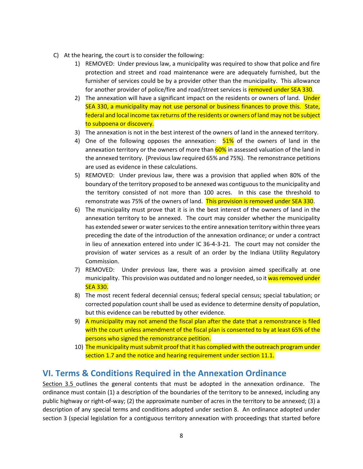- C) At the hearing, the court is to consider the following:
	- 1) REMOVED: Under previous law, a municipality was required to show that police and fire protection and street and road maintenance were are adequately furnished, but the furnisher of services could be by a provider other than the municipality. This allowance for another provider of police/fire and road/street services is removed under SEA 330.
	- 2) The annexation will have a significant impact on the residents or owners of land. Under SEA 330, a municipality may not use personal or business finances to prove this. State, federal and local income tax returns of the residents or owners of land may not be subject to subpoena or discovery.
	- 3) The annexation is not in the best interest of the owners of land in the annexed territory.
	- 4) One of the following opposes the annexation:  $51\%$  of the owners of land in the annexation territory or the owners of more than 60% in assessed valuation of the land in the annexed territory. (Previous law required 65% and 75%). The remonstrance petitions are used as evidence in these calculations.
	- 5) REMOVED: Under previous law, there was a provision that applied when 80% of the boundary of the territory proposed to be annexed was contiguous to the municipality and the territory consisted of not more than 100 acres. In this case the threshold to remonstrate was 75% of the owners of land. This provision is removed under SEA 330.
	- 6) The municipality must prove that it is in the best interest of the owners of land in the annexation territory to be annexed. The court may consider whether the municipality has extended sewer or water services to the entire annexation territory within three years preceding the date of the introduction of the annexation ordinance; or under a contract in lieu of annexation entered into under IC 36-4-3-21. The court may not consider the provision of water services as a result of an order by the Indiana Utility Regulatory Commission.
	- 7) REMOVED: Under previous law, there was a provision aimed specifically at one municipality. This provision was outdated and no longer needed, so it was removed under SEA 330.
	- 8) The most recent federal decennial census; federal special census; special tabulation; or corrected population count shall be used as evidence to determine density of population, but this evidence can be rebutted by other evidence.
	- 9) A municipality may not amend the fiscal plan after the date that a remonstrance is filed with the court unless amendment of the fiscal plan is consented to by at least 65% of the persons who signed the remonstrance petition.
	- 10) The municipality must submit proof that it has complied with the outreach program under section 1.7 and the notice and hearing requirement under section 11.1.

#### <span id="page-7-0"></span>**VI. Terms & Conditions Required in the Annexation Ordinance**

Section 3.5 outlines the general contents that must be adopted in the annexation ordinance. The ordinance must contain (1) a description of the boundaries of the territory to be annexed, including any public highway or right-of-way; (2) the approximate number of acres in the territory to be annexed; (3) a description of any special terms and conditions adopted under section 8. An ordinance adopted under section 3 (special legislation for a contiguous territory annexation with proceedings that started before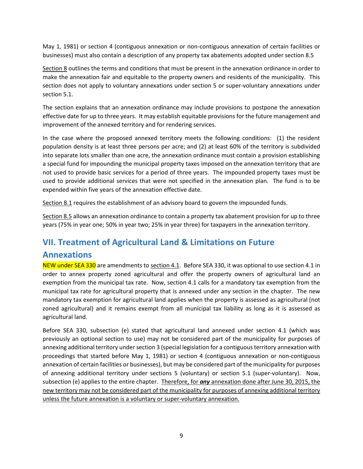May 1, 1981) or section 4 (contiguous annexation or non-contiguous annexation of certain facilities or businesses) must also contain a description of any property tax abatements adopted under section 8.5

Section 8 outlines the terms and conditions that must be present in the annexation ordinance in order to make the annexation fair and equitable to the property owners and residents of the municipality. This section does not apply to voluntary annexations under section 5 or super-voluntary annexations under section 5.1.

The section explains that an annexation ordinance may include provisions to postpone the annexation effective date for up to three years. It may establish equitable provisions for the future management and improvement of the annexed territory and for rendering services.

In the case where the proposed annexed territory meets the following conditions: (1) the resident population density is at least three persons per acre; and (2) at least 60% of the territory is subdivided into separate lots smaller than one acre, the annexation ordinance must contain a provision establishing a special fund for impounding the municipal property taxes imposed on the annexation territory that are not used to provide basic services for a period of three years. The impounded property taxes must be used to provide additional services that were not specified in the annexation plan. The fund is to be expended within five years of the annexation effective date.

Section 8.1 requires the establishment of an advisory board to govern the impounded funds.

Section 8.5 allows an annexation ordinance to contain a property tax abatement provision for up to three years (75% in year one; 50% in year two; 25% in year three) for taxpayers in the annexation territory.

#### <span id="page-8-0"></span>**VII. Treatment of Agricultural Land & Limitations on Future**

#### **Annexations**

NEW under SEA 330 are amendments to section 4.1. Before SEA 330, it was optional to use section 4.1 in order to annex property zoned agricultural and offer the property owners of agricultural land an exemption from the municipal tax rate. Now, section 4.1 calls for a mandatory tax exemption from the municipal tax rate for agricultural property that is annexed under any section in the chapter. The new mandatory tax exemption for agricultural land applies when the property is assessed as agricultural (not zoned agricultural) and it remains exempt from all municipal tax liability as long as it is assessed as agricultural land.

Before SEA 330, subsection (e) stated that agricultural land annexed under section 4.1 (which was previously an optional section to use) may not be considered part of the municipality for purposes of annexing additional territory under section 3 (special legislation for a contiguous territory annexation with proceedings that started before May 1, 1981) or section 4 (contiguous annexation or non-contiguous annexation of certain facilities or businesses), but may be considered part of the municipality for purposes of annexing additional territory under sections 5 (voluntary) or section 5.1 (super-voluntary). Now, subsection (e) applies to the entire chapter. Therefore, for *any* annexation done after June 30, 2015, the new territory may not be considered part of the municipality for purposes of annexing additional territory unless the future annexation is a voluntary or super-voluntary annexation.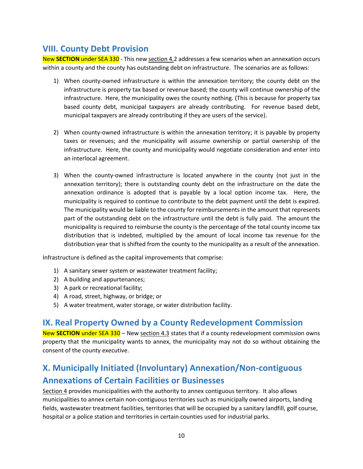#### <span id="page-9-0"></span>**VIII. County Debt Provision**

New SECTION under SEA 330 - This new section 4.2 addresses a few scenarios when an annexation occurs within a county and the county has outstanding debt on infrastructure. The scenarios are as follows:

- 1) When county-owned infrastructure is within the annexation territory; the county debt on the infrastructure is property tax based or revenue based; the county will continue ownership of the infrastructure. Here, the municipality owes the county nothing. (This is because for property tax based county debt, municipal taxpayers are already contributing. For revenue based debt, municipal taxpayers are already contributing if they are users of the service).
- 2) When county-owned infrastructure is within the annexation territory; it is payable by property taxes or revenues; and the municipality will assume ownership or partial ownership of the infrastructure. Here, the county and municipality would negotiate consideration and enter into an interlocal agreement.
- 3) When the county-owned infrastructure is located anywhere in the county (not just in the annexation territory); there is outstanding county debt on the infrastructure on the date the annexation ordinance is adopted that is payable by a local option income tax. Here, the municipality is required to continue to contribute to the debt payment until the debt is expired. The municipality would be liable to the county for reimbursements in the amount that represents part of the outstanding debt on the infrastructure until the debt is fully paid. The amount the municipality is required to reimburse the county is the percentage of the total county income tax distribution that is indebted, multiplied by the amount of local income tax revenue for the distribution year that is shifted from the county to the municipality as a result of the annexation.

Infrastructure is defined as the capital improvements that comprise:

- 1) A sanitary sewer system or wastewater treatment facility;
- 2) A building and appurtenances;
- 3) A park or recreational facility;
- 4) A road, street, highway, or bridge; or
- 5) A water treatment, water storage, or water distribution facility.

#### <span id="page-9-1"></span>**IX. Real Property Owned by a County Redevelopment Commission**

New **SECTION** under SEA 330 – New section 4.3 states that if a county redevelopment commission owns property that the municipality wants to annex, the municipality may not do so without obtaining the consent of the county executive.

# <span id="page-9-2"></span>**X. Municipally Initiated (Involuntary) Annexation/Non-contiguous Annexations of Certain Facilities or Businesses**

Section 4 provides municipalities with the authority to annex contiguous territory. It also allows municipalities to annex certain non-contiguous territories such as municipally owned airports, landing fields, wastewater treatment facilities, territories that will be occupied by a sanitary landfill, golf course, hospital or a police station and territories in certain counties used for industrial parks.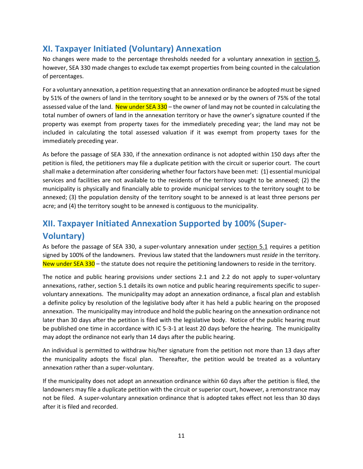### <span id="page-10-0"></span>**XI. Taxpayer Initiated (Voluntary) Annexation**

No changes were made to the percentage thresholds needed for a voluntary annexation in section 5, however, SEA 330 made changes to exclude tax exempt properties from being counted in the calculation of percentages.

For a voluntary annexation, a petition requesting that an annexation ordinance be adopted must be signed by 51% of the owners of land in the territory sought to be annexed or by the owners of 75% of the total assessed value of the land. New under  $SEA 330 -$  the owner of land may not be counted in calculating the total number of owners of land in the annexation territory or have the owner's signature counted if the property was exempt from property taxes for the immediately preceding year; the land may not be included in calculating the total assessed valuation if it was exempt from property taxes for the immediately preceding year.

As before the passage of SEA 330, if the annexation ordinance is not adopted within 150 days after the petition is filed, the petitioners may file a duplicate petition with the circuit or superior court. The court shall make a determination after considering whether four factors have been met: (1) essential municipal services and facilities are not available to the residents of the territory sought to be annexed; (2) the municipality is physically and financially able to provide municipal services to the territory sought to be annexed; (3) the population density of the territory sought to be annexed is at least three persons per acre; and (4) the territory sought to be annexed is contiguous to the municipality.

# <span id="page-10-1"></span>**XII. Taxpayer Initiated Annexation Supported by 100% (Super-Voluntary)**

As before the passage of SEA 330, a super-voluntary annexation under section 5.1 requires a petition signed by 100% of the landowners. Previous law stated that the landowners must *reside* in the territory. New under SEA 330 – the statute does not require the petitioning landowners to reside in the territory.

The notice and public hearing provisions under sections 2.1 and 2.2 do not apply to super-voluntary annexations, rather, section 5.1 details its own notice and public hearing requirements specific to supervoluntary annexations. The municipality may adopt an annexation ordinance, a fiscal plan and establish a definite policy by resolution of the legislative body after it has held a public hearing on the proposed annexation. The municipality may introduce and hold the public hearing on the annexation ordinance not later than 30 days after the petition is filed with the legislative body. Notice of the public hearing must be published one time in accordance with IC 5-3-1 at least 20 days before the hearing. The municipality may adopt the ordinance not early than 14 days after the public hearing.

An individual is permitted to withdraw his/her signature from the petition not more than 13 days after the municipality adopts the fiscal plan. Thereafter, the petition would be treated as a voluntary annexation rather than a super-voluntary.

If the municipality does not adopt an annexation ordinance within 60 days after the petition is filed, the landowners may file a duplicate petition with the circuit or superior court, however, a remonstrance may not be filed. A super-voluntary annexation ordinance that is adopted takes effect not less than 30 days after it is filed and recorded.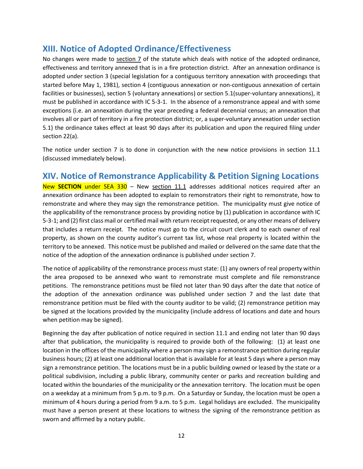#### <span id="page-11-0"></span>**XIII. Notice of Adopted Ordinance/Effectiveness**

No changes were made to section 7 of the statute which deals with notice of the adopted ordinance, effectiveness and territory annexed that is in a fire protection district. After an annexation ordinance is adopted under section 3 (special legislation for a contiguous territory annexation with proceedings that started before May 1, 1981), section 4 (contiguous annexation or non-contiguous annexation of certain facilities or businesses), section 5 (voluntary annexations) or section 5.1(super-voluntary annexations), it must be published in accordance with IC 5-3-1. In the absence of a remonstrance appeal and with some exceptions (i.e. an annexation during the year preceding a federal decennial census; an annexation that involves all or part of territory in a fire protection district; or, a super-voluntary annexation under section 5.1) the ordinance takes effect at least 90 days after its publication and upon the required filing under section 22(a).

The notice under section 7 is to done in conjunction with the new notice provisions in section 11.1 (discussed immediately below).

#### <span id="page-11-1"></span>**XIV. Notice of Remonstrance Applicability & Petition Signing Locations**

New **SECTION** under SEA 330 – New section 11.1 addresses additional notices required after an annexation ordinance has been adopted to explain to remonstrators their right to remonstrate, how to remonstrate and where they may sign the remonstrance petition. The municipality must give notice of the applicability of the remonstrance process by providing notice by (1) publication in accordance with IC 5-3-1; and (2) first class mail or certified mail with return receipt requested, or any other means of delivery that includes a return receipt. The notice must go to the circuit court clerk and to each owner of real property, as shown on the county auditor's current tax list, whose real property is located within the territory to be annexed. This notice must be published and mailed or delivered on the same date that the notice of the adoption of the annexation ordinance is published under section 7.

The notice of applicability of the remonstrance process must state: (1) any owners of real property within the area proposed to be annexed who want to remonstrate must complete and file remonstrance petitions. The remonstrance petitions must be filed not later than 90 days after the date that notice of the adoption of the annexation ordinance was published under section 7 and the last date that remonstrance petition must be filed with the county auditor to be valid; (2) remonstrance petition may be signed at the locations provided by the municipality (include address of locations and date and hours when petition may be signed).

Beginning the day after publication of notice required in section 11.1 and ending not later than 90 days after that publication, the municipality is required to provide both of the following: (1) at least one location in the offices of the municipality where a person may sign a remonstrance petition during regular business hours; (2) at least one additional location that is available for at least 5 days where a person may sign a remonstrance petition. The locations must be in a public building owned or leased by the state or a political subdivision, including a public library, community center or parks and recreation building and located within the boundaries of the municipality or the annexation territory. The location must be open on a weekday at a minimum from 5 p.m. to 9 p.m. On a Saturday or Sunday, the location must be open a minimum of 4 hours during a period from 9 a.m. to 5 p.m. Legal holidays are excluded. The municipality must have a person present at these locations to witness the signing of the remonstrance petition as sworn and affirmed by a notary public.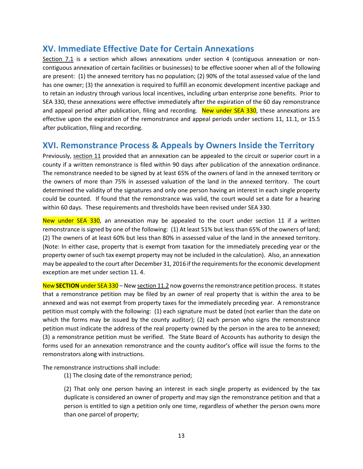#### <span id="page-12-0"></span>**XV. Immediate Effective Date for Certain Annexations**

Section 7.1 is a section which allows annexations under section 4 (contiguous annexation or noncontiguous annexation of certain facilities or businesses) to be effective sooner when all of the following are present: (1) the annexed territory has no population; (2) 90% of the total assessed value of the land has one owner; (3) the annexation is required to fulfill an economic development incentive package and to retain an industry through various local incentives, including urban enterprise zone benefits. Prior to SEA 330, these annexations were effective immediately after the expiration of the 60 day remonstrance and appeal period after publication, filing and recording. New under SEA 330, these annexations are effective upon the expiration of the remonstrance and appeal periods under sections 11, 11.1, or 15.5 after publication, filing and recording.

#### <span id="page-12-1"></span>**XVI. Remonstrance Process & Appeals by Owners Inside the Territory**

Previously, section 11 provided that an annexation can be appealed to the circuit or superior court in a county if a written remonstrance is filed within 90 days after publication of the annexation ordinance. The remonstrance needed to be signed by at least 65% of the owners of land in the annexed territory or the owners of more than 75% in assessed valuation of the land in the annexed territory. The court determined the validity of the signatures and only one person having an interest in each single property could be counted. If found that the remonstrance was valid, the court would set a date for a hearing within 60 days. These requirements and thresholds have been revised under SEA 330.

New under SEA 330, an annexation may be appealed to the court under section 11 if a written remonstrance is signed by one of the following: (1) At least 51% but less than 65% of the owners of land; (2) The owners of at least 60% but less than 80% in assessed value of the land in the annexed territory. (Note: In either case, property that is exempt from taxation for the immediately preceding year or the property owner of such tax exempt property may not be included in the calculation). Also, an annexation may be appealed to the court after December 31, 2016 if the requirements for the economic development exception are met under section 11. 4.

New **SECTION** under SEA 330 – New section 11.2 now governs the remonstrance petition process. It states that a remonstrance petition may be filed by an owner of real property that is within the area to be annexed and was not exempt from property taxes for the immediately preceding year. A remonstrance petition must comply with the following: (1) each signature must be dated (not earlier than the date on which the forms may be issued by the county auditor); (2) each person who signs the remonstrance petition must indicate the address of the real property owned by the person in the area to be annexed; (3) a remonstrance petition must be verified. The State Board of Accounts has authority to design the forms used for an annexation remonstrance and the county auditor's office will issue the forms to the remonstrators along with instructions.

The remonstrance instructions shall include:

(1) The closing date of the remonstrance period;

(2) That only one person having an interest in each single property as evidenced by the tax duplicate is considered an owner of property and may sign the remonstrance petition and that a person is entitled to sign a petition only one time, regardless of whether the person owns more than one parcel of property;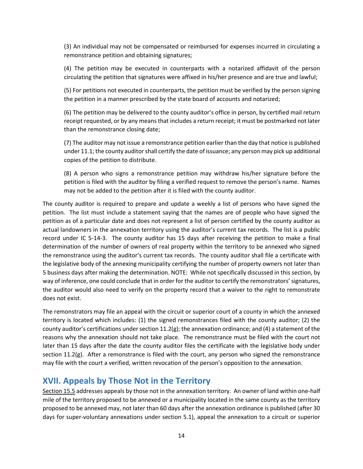(3) An individual may not be compensated or reimbursed for expenses incurred in circulating a remonstrance petition and obtaining signatures;

(4) The petition may be executed in counterparts with a notarized affidavit of the person circulating the petition that signatures were affixed in his/her presence and are true and lawful;

(5) For petitions not executed in counterparts, the petition must be verified by the person signing the petition in a manner prescribed by the state board of accounts and notarized;

(6) The petition may be delivered to the county auditor's office in person, by certified mail return receipt requested, or by any means that includes a return receipt; it must be postmarked not later than the remonstrance closing date;

(7) The auditor may not issue a remonstrance petition earlier than the day that notice is published under 11.1; the county auditor shall certify the date of issuance; any person may pick up additional copies of the petition to distribute.

(8) A person who signs a remonstrance petition may withdraw his/her signature before the petition is filed with the auditor by filing a verified request to remove the person's name. Names may not be added to the petition after it is filed with the county auditor.

The county auditor is required to prepare and update a weekly a list of persons who have signed the petition. The list must include a statement saying that the names are of people who have signed the petition as of a particular date and does not represent a list of person certified by the county auditor as actual landowners in the annexation territory using the auditor's current tax records. The list is a public record under IC 5-14-3. The county auditor has 15 days after receiving the petition to make a final determination of the number of owners of real property within the territory to be annexed who signed the remonstrance using the auditor's current tax records. The county auditor shall file a certificate with the legislative body of the annexing municipality certifying the number of property owners not later than 5 business days after making the determination. NOTE: While not specifically discussed in this section, by way of inference, one could conclude that in order for the auditor to certify the remonstrators' signatures, the auditor would also need to verify on the property record that a waiver to the right to remonstrate does not exist.

The remonstrators may file an appeal with the circuit or superior court of a county in which the annexed territory is located which includes: (1) the signed remonstrances filed with the county auditor; (2) the county auditor's certifications under section  $11.2(g)$ ; the annexation ordinance; and (4) a statement of the reasons why the annexation should not take place. The remonstrance must be filed with the court not later than 15 days after the date the county auditor files the certificate with the legislative body under section 11.2(g). After a remonstrance is filed with the court, any person who signed the remonstrance may file with the court a verified, written revocation of the person's opposition to the annexation.

#### <span id="page-13-0"></span>**XVII. Appeals by Those Not in the Territory**

Section 15.5 addresses appeals by those not in the annexation territory. An owner of land within one-half mile of the territory proposed to be annexed or a municipality located in the same county as the territory proposed to be annexed may, not later than 60 days after the annexation ordinance is published (after 30 days for super-voluntary annexations under section 5.1), appeal the annexation to a circuit or superior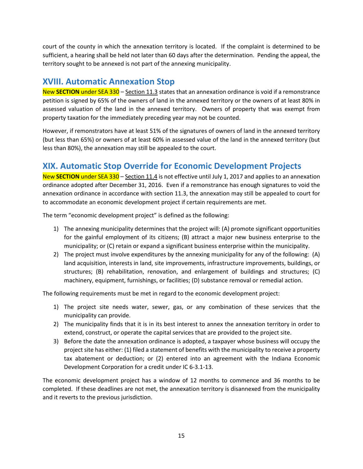court of the county in which the annexation territory is located. If the complaint is determined to be sufficient, a hearing shall be held not later than 60 days after the determination. Pending the appeal, the territory sought to be annexed is not part of the annexing municipality.

#### <span id="page-14-0"></span>**XVIII. Automatic Annexation Stop**

New **SECTION** under SEA 330 – Section 11.3 states that an annexation ordinance is void if a remonstrance petition is signed by 65% of the owners of land in the annexed territory or the owners of at least 80% in assessed valuation of the land in the annexed territory. Owners of property that was exempt from property taxation for the immediately preceding year may not be counted.

However, if remonstrators have at least 51% of the signatures of owners of land in the annexed territory (but less than 65%) or owners of at least 60% in assessed value of the land in the annexed territory (but less than 80%), the annexation may still be appealed to the court.

### <span id="page-14-1"></span>**XIX. Automatic Stop Override for Economic Development Projects**

New **SECTION** under SEA 330 – Section 11.4 is not effective until July 1, 2017 and applies to an annexation ordinance adopted after December 31, 2016. Even if a remonstrance has enough signatures to void the annexation ordinance in accordance with section 11.3, the annexation may still be appealed to court for to accommodate an economic development project if certain requirements are met.

The term "economic development project" is defined as the following:

- 1) The annexing municipality determines that the project will: (A) promote significant opportunities for the gainful employment of its citizens; (B) attract a major new business enterprise to the municipality; or (C) retain or expand a significant business enterprise within the municipality.
- 2) The project must involve expenditures by the annexing municipality for any of the following: (A) land acquisition, interests in land, site improvements, infrastructure improvements, buildings, or structures; (B) rehabilitation, renovation, and enlargement of buildings and structures; (C) machinery, equipment, furnishings, or facilities; (D) substance removal or remedial action.

The following requirements must be met in regard to the economic development project:

- 1) The project site needs water, sewer, gas, or any combination of these services that the municipality can provide.
- 2) The municipality finds that it is in its best interest to annex the annexation territory in order to extend, construct, or operate the capital services that are provided to the project site.
- 3) Before the date the annexation ordinance is adopted, a taxpayer whose business will occupy the project site has either: (1) filed a statement of benefits with the municipality to receive a property tax abatement or deduction; or (2) entered into an agreement with the Indiana Economic Development Corporation for a credit under IC 6-3.1-13.

The economic development project has a window of 12 months to commence and 36 months to be completed. If these deadlines are not met, the annexation territory is disannexed from the municipality and it reverts to the previous jurisdiction.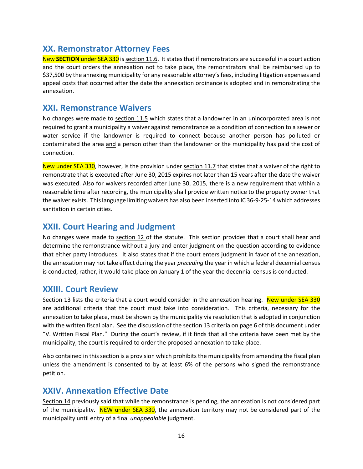#### <span id="page-15-0"></span>**XX. Remonstrator Attorney Fees**

New **SECTION** under SEA 330 is section 11.6. It states that if remonstrators are successful in a court action and the court orders the annexation not to take place, the remonstrators shall be reimbursed up to \$37,500 by the annexing municipality for any reasonable attorney's fees, including litigation expenses and appeal costs that occurred after the date the annexation ordinance is adopted and in remonstrating the annexation.

#### <span id="page-15-1"></span>**XXI. Remonstrance Waivers**

No changes were made to section 11.5 which states that a landowner in an unincorporated area is not required to grant a municipality a waiver against remonstrance as a condition of connection to a sewer or water service if the landowner is required to connect because another person has polluted or contaminated the area and a person other than the landowner or the municipality has paid the cost of connection.

New under SEA 330, however, is the provision under section 11.7 that states that a waiver of the right to remonstrate that is executed after June 30, 2015 expires not later than 15 years after the date the waiver was executed. Also for waivers recorded after June 30, 2015, there is a new requirement that within a reasonable time after recording, the municipality shall provide written notice to the property owner that the waiver exists. This language limiting waivers has also been inserted into IC 36-9-25-14 which addresses sanitation in certain cities.

#### <span id="page-15-2"></span>**XXII. Court Hearing and Judgment**

No changes were made to section 12 of the statute. This section provides that a court shall hear and determine the remonstrance without a jury and enter judgment on the question according to evidence that either party introduces. It also states that if the court enters judgment in favor of the annexation, the annexation may not take effect during the year *preceding* the year in which a federal decennial census is conducted, rather, it would take place on January 1 of the year the decennial census is conducted.

#### <span id="page-15-3"></span>**XXIII. Court Review**

Section 13 lists the criteria that a court would consider in the annexation hearing. New under SEA 330 are additional criteria that the court must take into consideration. This criteria, necessary for the annexation to take place, must be shown by the municipality via resolution that is adopted in conjunction with the written fiscal plan. See the discussion of the section 13 criteria on page 6 of this document under "V. Written Fiscal Plan." During the court's review, if it finds that all the criteria have been met by the municipality, the court is required to order the proposed annexation to take place.

Also contained in this section is a provision which prohibits the municipality from amending the fiscal plan unless the amendment is consented to by at least 6% of the persons who signed the remonstrance petition.

#### <span id="page-15-4"></span>**XXIV. Annexation Effective Date**

Section 14 previously said that while the remonstrance is pending, the annexation is not considered part of the municipality. NEW under SEA 330, the annexation territory may not be considered part of the municipality until entry of a final *unappealable* judgment.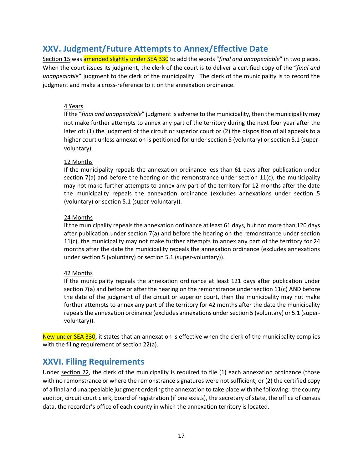#### <span id="page-16-0"></span>**XXV. Judgment/Future Attempts to Annex/Effective Date**

Section 15 was amended slightly under SEA 330 to add the words "*final and unappealable*" in two places. When the court issues its judgment, the clerk of the court is to deliver a certified copy of the "*final and unappealable*" judgment to the clerk of the municipality. The clerk of the municipality is to record the judgment and make a cross-reference to it on the annexation ordinance.

#### 4 Years

If the "*final and unappealable*" judgment is adverse to the municipality, then the municipality may not make further attempts to annex any part of the territory during the next four year after the later of: (1) the judgment of the circuit or superior court or (2) the disposition of all appeals to a higher court unless annexation is petitioned for under section 5 (voluntary) or section 5.1 (supervoluntary).

#### 12 Months

If the municipality repeals the annexation ordinance less than 61 days after publication under section 7(a) and before the hearing on the remonstrance under section 11(c), the municipality may not make further attempts to annex any part of the territory for 12 months after the date the municipality repeals the annexation ordinance (excludes annexations under section 5 (voluntary) or section 5.1 (super-voluntary)).

#### 24 Months

If the municipality repeals the annexation ordinance at least 61 days, but not more than 120 days after publication under section 7(a) and before the hearing on the remonstrance under section 11(c), the municipality may not make further attempts to annex any part of the territory for 24 months after the date the municipality repeals the annexation ordinance (excludes annexations under section 5 (voluntary) or section 5.1 (super-voluntary)).

#### 42 Months

If the municipality repeals the annexation ordinance at least 121 days after publication under section 7(a) and before or after the hearing on the remonstrance under section  $11(c)$  AND before the date of the judgment of the circuit or superior court, then the municipality may not make further attempts to annex any part of the territory for 42 months after the date the municipality repeals the annexation ordinance (excludes annexations under section 5 (voluntary) or 5.1 (supervoluntary)).

New under SEA 330, it states that an annexation is effective when the clerk of the municipality complies with the filing requirement of section 22(a).

#### <span id="page-16-1"></span>**XXVI. Filing Requirements**

Under section 22, the clerk of the municipality is required to file (1) each annexation ordinance (those with no remonstrance or where the remonstrance signatures were not sufficient; or (2) the certified copy of a final and unappealable judgment ordering the annexation to take place with the following: the county auditor, circuit court clerk, board of registration (if one exists), the secretary of state, the office of census data, the recorder's office of each county in which the annexation territory is located.